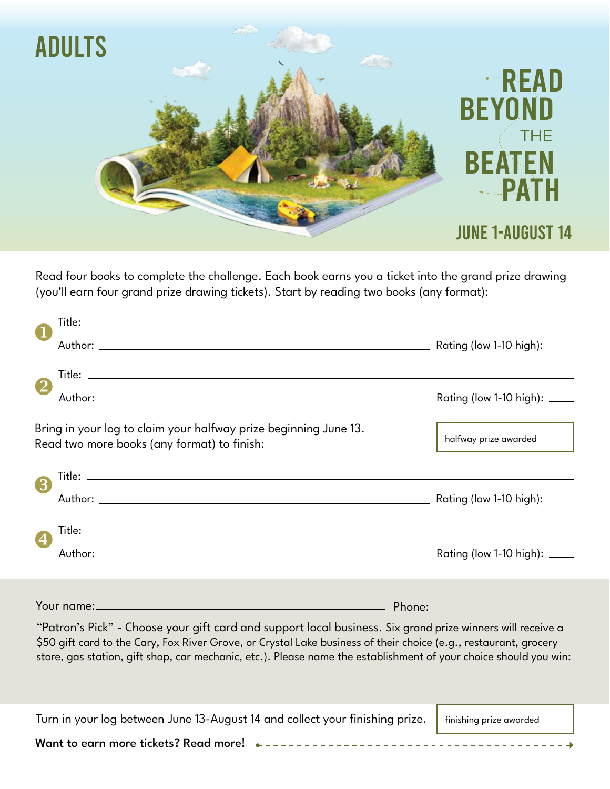

Read four books to complete the challenge. Each book earns you a ticket into the grand prize drawing (you'll earn four grand prize drawing tickets). Start by reading two books (any format):

|                                                                                                                                                                                                                                                                                                                                                    | Bring in your log to claim your halfway prize beginning June 13.<br>Read two more books (any format) to finish: |                                 |  |
|----------------------------------------------------------------------------------------------------------------------------------------------------------------------------------------------------------------------------------------------------------------------------------------------------------------------------------------------------|-----------------------------------------------------------------------------------------------------------------|---------------------------------|--|
| 3                                                                                                                                                                                                                                                                                                                                                  |                                                                                                                 |                                 |  |
|                                                                                                                                                                                                                                                                                                                                                    |                                                                                                                 |                                 |  |
| $\bigcirc$                                                                                                                                                                                                                                                                                                                                         |                                                                                                                 |                                 |  |
|                                                                                                                                                                                                                                                                                                                                                    |                                                                                                                 |                                 |  |
|                                                                                                                                                                                                                                                                                                                                                    |                                                                                                                 |                                 |  |
| "Patron's Pick" - Choose your gift card and support local business. Six grand prize winners will receive a<br>\$50 gift card to the Cary, Fox River Grove, or Crystal Lake business of their choice (e.g., restaurant, grocery<br>store, gas station, gift shop, car mechanic, etc.). Please name the establishment of your choice should you win: |                                                                                                                 |                                 |  |
|                                                                                                                                                                                                                                                                                                                                                    |                                                                                                                 |                                 |  |
|                                                                                                                                                                                                                                                                                                                                                    | Turn in your log between June 13-August 14 and collect your finishing prize.                                    | finishing prize awarded _______ |  |
|                                                                                                                                                                                                                                                                                                                                                    |                                                                                                                 |                                 |  |